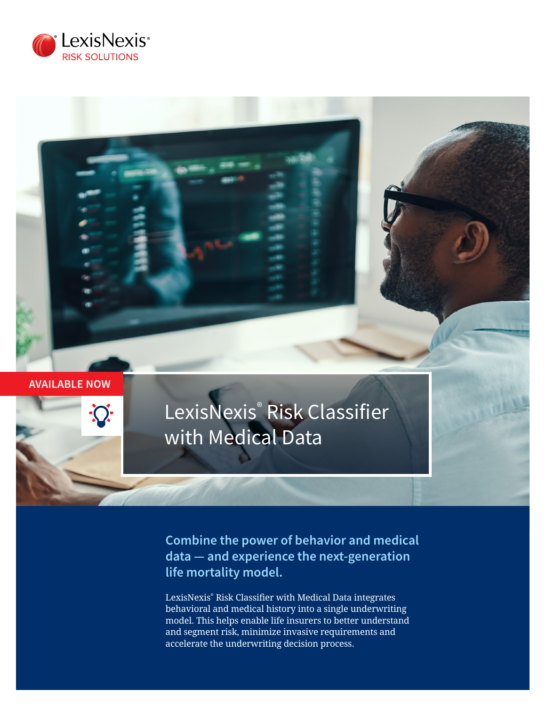

## **AVAILABLE NOW**

# LexisNexis® Risk Classifier with Medical Data

**Combine the power of behavior and medical data — and experience the next-generation life mortality model.**

LexisNexis® Risk Classifier with Medical Data integrates behavioral and medical history into a single underwriting model. This helps enable life insurers to better understand and segment risk, minimize invasive requirements and accelerate the underwriting decision process.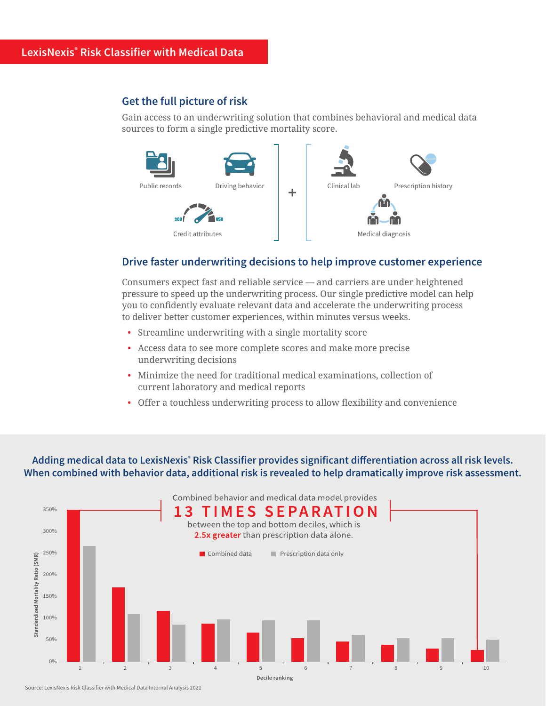## **Get the full picture of risk**

Gain access to an underwriting solution that combines behavioral and medical data sources to form a single predictive mortality score.



## **Drive faster underwriting decisions to help improve customer experience**

Consumers expect fast and reliable service — and carriers are under heightened pressure to speed up the underwriting process. Our single predictive model can help you to confidently evaluate relevant data and accelerate the underwriting process to deliver better customer experiences, within minutes versus weeks.

- Streamline underwriting with a single mortality score
- Access data to see more complete scores and make more precise underwriting decisions
- Minimize the need for traditional medical examinations, collection of current laboratory and medical reports
- Offer a touchless underwriting process to allow flexibility and convenience

**Adding medical data to LexisNexis® Risk Classifier provides significant differentiation across all risk levels. When combined with behavior data, additional risk is revealed to help dramatically improve risk assessment.**



Source: LexisNexis Risk Classifier with Medical Data Internal Analysis 2021